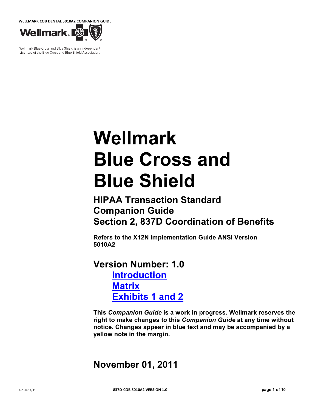WELLMARK COB DENTAL 5010A2 COMPANION GUIDE



Wellmark Blue Cross and Blue Shield is an Independent Licensee of the Blue Cross and Blue Shield Association.

# Wellmark Blue Cross and Blue Shield

# HIPAA Transaction Standard Companion Guide Section 2, 837D Coordination of Benefits

Refers to the X12N Implementation Guide ANSI Version 5010A2

Version Number: 1.0 Introduction **Matrix Exhibits 1 and 2** 

This Companion Guide is a work in progress. Wellmark reserves the right to make changes to this Companion Guide at any time without notice. Changes appear in blue text and may be accompanied by a yellow note in the margin.

## November 01, 2011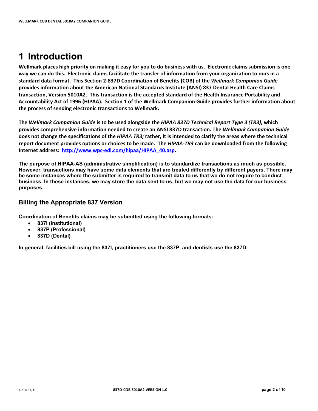## 1 Introduction

Wellmark places high priority on making it easy for you to do business with us. Electronic claims submission is one way we can do this. Electronic claims facilitate the transfer of information from your organization to ours in a standard data format. This Section 2-837D Coordination of Benefits (COB) of the Wellmark Companion Guide provides information about the American National Standards Institute (ANSI) 837 Dental Health Care Claims transaction, Version 5010A2. This transaction is the accepted standard of the Health Insurance Portability and Accountability Act of 1996 (HIPAA). Section 1 of the Wellmark Companion Guide provides further information about the process of sending electronic transactions to Wellmark.

The Wellmark Companion Guide is to be used alongside the HIPAA 837D Technical Report Type 3 (TR3), which provides comprehensive information needed to create an ANSI 837D transaction. The Wellmark Companion Guide does not change the specifications of the HIPAA TR3; rather, it is intended to clarify the areas where the technical report document provides options or choices to be made. The HIPAA-TR3 can be downloaded from the following Internet address: http://www.wpc-edi.com/hipaa/HIPAA\_40.asp.

The purpose of HIPAA-AS (administrative simplification) is to standardize transactions as much as possible. However, transactions may have some data elements that are treated differently by different payers. There may be some instances where the submitter is required to transmit data to us that we do not require to conduct business. In these instances, we may store the data sent to us, but we may not use the data for our business purposes.

#### Billing the Appropriate 837 Version

Coordination of Benefits claims may be submitted using the following formats:

- 837I (Institutional)
- 837P (Professional)
- 837D (Dental)

In general, facilities bill using the 837I, practitioners use the 837P, and dentists use the 837D.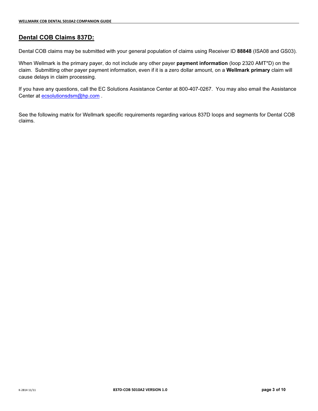#### Dental COB Claims 837D:

Dental COB claims may be submitted with your general population of claims using Receiver ID 88848 (ISA08 and GS03).

When Wellmark is the primary payer, do not include any other payer payment information (loop 2320 AMT\*D) on the claim. Submitting other payer payment information, even if it is a zero dollar amount, on a Wellmark primary claim will cause delays in claim processing.

If you have any questions, call the EC Solutions Assistance Center at 800-407-0267. You may also email the Assistance Center at ecsolutionsdsm@hp.com.

See the following matrix for Wellmark specific requirements regarding various 837D loops and segments for Dental COB claims.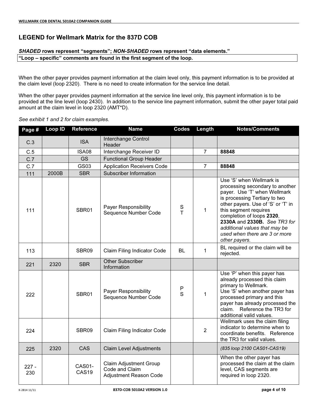## LEGEND for Wellmark Matrix for the 837D COB

#### SHADED rows represent "segments"; NON-SHADED rows represent "data elements."

"Loop – specific" comments are found in the first segment of the loop.

When the other payer provides payment information at the claim level only, this payment information is to be provided at the claim level (loop 2320). There is no need to create information for the service line detail.

When the other payer provides payment information at the service line level only, this payment information is to be provided at the line level (loop 2430). In addition to the service line payment information, submit the other payer total paid amount at the claim level in loop 2320 (AMT\*D).

#### See exhibit 1 and 2 for claim examples.

| Page #         | Loop ID | <b>Reference</b>            | <b>Name</b>                                                               | <b>Codes</b> | Length         | <b>Notes/Comments</b>                                                                                                                                                                                                                                                                                                                       |
|----------------|---------|-----------------------------|---------------------------------------------------------------------------|--------------|----------------|---------------------------------------------------------------------------------------------------------------------------------------------------------------------------------------------------------------------------------------------------------------------------------------------------------------------------------------------|
| C.3            |         | <b>ISA</b>                  | Interchange Control<br>Header                                             |              |                |                                                                                                                                                                                                                                                                                                                                             |
| C.5            |         | ISA08                       | Interchange Receiver ID                                                   |              | $\overline{7}$ | 88848                                                                                                                                                                                                                                                                                                                                       |
| C.7            |         | <b>GS</b>                   | <b>Functional Group Header</b>                                            |              |                |                                                                                                                                                                                                                                                                                                                                             |
| C.7            |         | GS03                        | <b>Application Receivers Code</b>                                         |              | $\overline{7}$ | 88848                                                                                                                                                                                                                                                                                                                                       |
| 111            | 2000B   | <b>SBR</b>                  | Subscriber Information                                                    |              |                |                                                                                                                                                                                                                                                                                                                                             |
| 111            |         | SBR01                       | Payer Responsibility<br>Sequence Number Code                              | $S$ T        | 1              | Use 'S' when Wellmark is<br>processing secondary to another<br>payer. Use 'T' when Wellmark<br>is processing Tertiary to two<br>other payers. Use of 'S' or 'T' in<br>this segment requires<br>completion of loops 2320,<br>2330A and 2330B. See TR3 for<br>additional values that may be<br>used when there are 3 or more<br>other payers. |
| 113            |         | SBR09                       | Claim Filing Indicator Code                                               | <b>BL</b>    | 1              | BL required or the claim will be<br>rejected.                                                                                                                                                                                                                                                                                               |
| 221            | 2320    | <b>SBR</b>                  | <b>Other Subscriber</b><br>Information                                    |              |                |                                                                                                                                                                                                                                                                                                                                             |
| 222            |         | SBR01                       | <b>Payer Responsibility</b><br>Sequence Number Code                       | P<br>S       | 1              | Use 'P' when this payer has<br>already processed this claim<br>primary to Wellmark.<br>Use 'S' when another payer has<br>processed primary and this<br>payer has already processed the<br>Reference the TR3 for<br>claim.<br>additional valid values.                                                                                       |
| 224            |         | SBR09                       | Claim Filing Indicator Code                                               |              | $\overline{2}$ | Wellmark uses the claim filing<br>indicator to determine when to<br>coordinate benefits. Reference<br>the TR3 for valid values.                                                                                                                                                                                                             |
| 225            | 2320    | CAS                         | <b>Claim Level Adjustments</b>                                            |              |                | (835 loop 2100 CAS01-CAS19)                                                                                                                                                                                                                                                                                                                 |
| $227 -$<br>230 |         | CAS01-<br>CAS <sub>19</sub> | <b>Claim Adjustment Group</b><br>Code and Claim<br>Adjustment Reason Code |              |                | When the other payer has<br>processed the claim at the claim<br>level, CAS segments are<br>required in loop 2320.                                                                                                                                                                                                                           |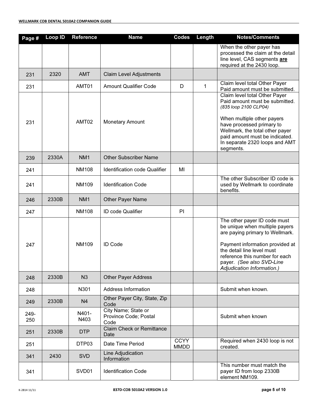| Page #      | Loop ID | <b>Reference</b> | <b>Name</b>                                          | <b>Codes</b>               | Length       | <b>Notes/Comments</b>                                                                                                                                                                                                                                           |
|-------------|---------|------------------|------------------------------------------------------|----------------------------|--------------|-----------------------------------------------------------------------------------------------------------------------------------------------------------------------------------------------------------------------------------------------------------------|
|             |         |                  |                                                      |                            |              | When the other payer has<br>processed the claim at the detail<br>line level, CAS segments are<br>required at the 2430 loop.                                                                                                                                     |
| 231         | 2320    | <b>AMT</b>       | <b>Claim Level Adjustments</b>                       |                            |              |                                                                                                                                                                                                                                                                 |
| 231         |         | AMT01            | <b>Amount Qualifier Code</b>                         | D                          | $\mathbf{1}$ | Claim level total Other Payer<br>Paid amount must be submitted.                                                                                                                                                                                                 |
| 231         |         | AMT02            | <b>Monetary Amount</b>                               |                            |              | Claim level total Other Payer<br>Paid amount must be submitted.<br>(835 loop 2100 CLP04)<br>When multiple other payers<br>have processed primary to<br>Wellmark, the total other payer<br>paid amount must be indicated.<br>In separate 2320 loops and AMT      |
| 239         | 2330A   | NM <sub>1</sub>  | <b>Other Subscriber Name</b>                         |                            |              | segments.                                                                                                                                                                                                                                                       |
|             |         |                  |                                                      |                            |              |                                                                                                                                                                                                                                                                 |
| 241         |         | <b>NM108</b>     | Identification code Qualifier                        | MI                         |              | The other Subscriber ID code is                                                                                                                                                                                                                                 |
| 241         |         | NM109            | <b>Identification Code</b>                           |                            |              | used by Wellmark to coordinate<br>benefits.                                                                                                                                                                                                                     |
| 246         | 2330B   | NM <sub>1</sub>  | <b>Other Payer Name</b>                              |                            |              |                                                                                                                                                                                                                                                                 |
| 247         |         | <b>NM108</b>     | ID code Qualifier                                    | PI                         |              |                                                                                                                                                                                                                                                                 |
| 247         |         | <b>NM109</b>     | <b>ID Code</b>                                       |                            |              | The other payer ID code must<br>be unique when multiple payers<br>are paying primary to Wellmark.<br>Payment information provided at<br>the detail line level must<br>reference this number for each<br>payer. (See also SVD-Line<br>Adjudication Information.) |
| 248         | 2330B   | N <sub>3</sub>   | <b>Other Payer Address</b>                           |                            |              |                                                                                                                                                                                                                                                                 |
| 248         |         | N301             | Address Information                                  |                            |              | Submit when known.                                                                                                                                                                                                                                              |
| 249         | 2330B   | N <sub>4</sub>   | Other Payer City, State, Zip<br>Code                 |                            |              |                                                                                                                                                                                                                                                                 |
| 249-<br>250 |         | N401-<br>N403    | City Name; State or<br>Province Code; Postal<br>Code |                            |              | Submit when known                                                                                                                                                                                                                                               |
| 251         | 2330B   | <b>DTP</b>       | <b>Claim Check or Remittance</b><br>Date             |                            |              |                                                                                                                                                                                                                                                                 |
| 251         |         | DTP03            | Date Time Period                                     | <b>CCYY</b><br><b>MMDD</b> |              | Required when 2430 loop is not<br>created.                                                                                                                                                                                                                      |
| 341         | 2430    | <b>SVD</b>       | Line Adjudication<br>Information                     |                            |              |                                                                                                                                                                                                                                                                 |
| 341         |         | SVD01            | <b>Identification Code</b>                           |                            |              | This number must match the<br>payer ID from loop 2330B<br>element NM109.                                                                                                                                                                                        |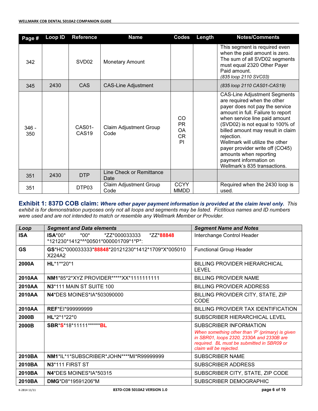| Page #         | <b>Loop ID</b> | <b>Reference</b>            | <b>Name</b>                           | Codes                                           | Length | <b>Notes/Comments</b>                                                                                                                                                                                                                                                                                                                                                                                                      |
|----------------|----------------|-----------------------------|---------------------------------------|-------------------------------------------------|--------|----------------------------------------------------------------------------------------------------------------------------------------------------------------------------------------------------------------------------------------------------------------------------------------------------------------------------------------------------------------------------------------------------------------------------|
| 342            |                | SVD <sub>02</sub>           | <b>Monetary Amount</b>                |                                                 |        | This segment is required even<br>when the paid amount is zero.<br>The sum of all SVD02 segments<br>must equal 2320 Other Payer<br>Paid amount.<br>(835 loop 2110 SVC03)                                                                                                                                                                                                                                                    |
| 345            | 2430           | <b>CAS</b>                  | <b>CAS-Line Adjustment</b>            |                                                 |        | (835 loop 2110 CAS01-CAS19)                                                                                                                                                                                                                                                                                                                                                                                                |
| $346 -$<br>350 |                | CAS01-<br>CAS <sub>19</sub> | <b>Claim Adjustment Group</b><br>Code | CO<br><b>PR</b><br><b>OA</b><br><b>CR</b><br>PI |        | <b>CAS-Line Adjustment Segments</b><br>are required when the other<br>payer does not pay the service<br>amount in full. Failure to report<br>when service line paid amount<br>(SVD02) is not equal to 100% of<br>billed amount may result in claim<br>rejection.<br>Wellmark will utilize the other<br>payer provider write off (CO45)<br>amounts when reporting<br>payment information on<br>Wellmark's 835 transactions. |
| 351            | 2430           | <b>DTP</b>                  | Line Check or Remittance<br>Date      |                                                 |        |                                                                                                                                                                                                                                                                                                                                                                                                                            |
| 351            |                | DTP03                       | Claim Adjustment Group<br>Code        | <b>CCYY</b><br><b>MMDD</b>                      |        | Required when the 2430 loop is<br>used.                                                                                                                                                                                                                                                                                                                                                                                    |

Exhibit 1: 837D COB claim: Where other payer payment information is provided at the claim level only. This exhibit is for demonstration purposes only not all loops and segments may be listed. Fictitious names and ID numbers

were used and are not intended to match or resemble any Wellmark Member or Provider.

| Loop       | <b>Segment and Data elements</b>                                                          | <b>Segment Name and Notes</b>                                                                                                                                                                    |  |  |
|------------|-------------------------------------------------------------------------------------------|--------------------------------------------------------------------------------------------------------------------------------------------------------------------------------------------------|--|--|
| <b>ISA</b> | $ISA*00*$<br>$*00*$<br>*ZZ*000033333<br>*ZZ*88848<br>*121230*1412*^*00501*000001709*1*P*: | Interchange Control Header                                                                                                                                                                       |  |  |
| GS         | GS*HC*000033333*88848*20121230*1412*1709*X*005010<br>X224A2                               | <b>Functional Group Header</b>                                                                                                                                                                   |  |  |
| 2000A      | HL*1**20*1                                                                                | BILLING PROVIDER HIERARCHICAL<br><b>LEVEL</b>                                                                                                                                                    |  |  |
| 2010AA     | <b>NM1*85*2*XYZ PROVIDER*****XX*11111111111</b>                                           | <b>BILLING PROVIDER NAME</b>                                                                                                                                                                     |  |  |
| 2010AA     | N <sub>3</sub> *111 MAIN ST SUITE 100                                                     | BILLING PROVIDER ADDRESS                                                                                                                                                                         |  |  |
| 2010AA     | <b>N4*DES MOINES*IA*503090000</b>                                                         | BILLING PROVIDER CITY, STATE, ZIP<br>CODE                                                                                                                                                        |  |  |
| 2010AA     | <b>REF*EI*999999999</b>                                                                   | BILLING PROVIDER TAX IDENTIFICATION                                                                                                                                                              |  |  |
| 2000B      | HL*2*1*22*0                                                                               | SUBSCRIBER HIERARCHICAL LEVEL                                                                                                                                                                    |  |  |
| 2000B      | SBR*S*18*11111*******BL                                                                   | SUBSCRIBER INFORMATION<br>When something other than 'P' (primary) is given<br>in SBR01, loops 2320, 2330A and 2330B are<br>required. BL must be submitted in SBR09 or<br>claim will be rejected. |  |  |
| 2010BA     | NM1*IL*1*SUBSCRIBER*JOHN****MI*R99999999                                                  | <b>SUBSCRIBER NAME</b>                                                                                                                                                                           |  |  |
| 2010BA     | N <sub>3</sub> *111 FIRST ST                                                              | <b>SUBSCRIBER ADDRESS</b>                                                                                                                                                                        |  |  |
| 2010BA     | N4*DES MOINES*IA*50315                                                                    | SUBSCRIBER CITY, STATE, ZIP CODE                                                                                                                                                                 |  |  |
| 2010BA     | <b>DMG</b> *D8*19591206*M                                                                 | SUBSCRIBER DEMOGRAPHIC                                                                                                                                                                           |  |  |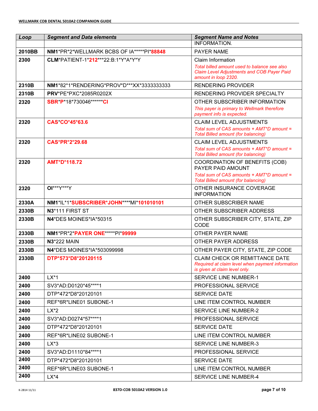| Loop   | <b>Segment and Data elements</b>          | <b>Segment Name and Notes</b>                                                                                                                         |
|--------|-------------------------------------------|-------------------------------------------------------------------------------------------------------------------------------------------------------|
|        |                                           | <b>INFORMATION.</b>                                                                                                                                   |
| 2010BB | NM1*PR*2*WELLMARK BCBS OF IA*****PI*88848 | <b>PAYER NAME</b>                                                                                                                                     |
| 2300   | CLM*PATIENT-1*212***22:B:1*Y*A*Y*Y        | <b>Claim Information</b><br>Total billed amount used to balance see also<br><b>Claim Level Adjustments and COB Payer Paid</b><br>amount in loop 2320. |
| 2310B  | NM1*82*1*RENDERING*PROV*D***XX*3333333333 | <b>RENDERING PROVIDER</b>                                                                                                                             |
| 2310B  | PRV*PE*PXC*2085R0202X                     | RENDERING PROVIDER SPECIALTY                                                                                                                          |
| 2320   | SBR*P*18*730046*******Cl                  | OTHER SUBSCRIBER INFORMATION                                                                                                                          |
|        |                                           | This payer is primary to Wellmark therefore<br>payment info is expected.                                                                              |
| 2320   | CAS CO*45*63.6                            | <b>CLAIM LEVEL ADJUSTMENTS</b><br>Total sum of CAS amounts + AMT*D amount =<br><b>Total Billed amount (for balancing)</b>                             |
| 2320   | CAS*PR*2*29.68                            | <b>CLAIM LEVEL ADJUSTMENTS</b><br>Total sum of CAS amounts + AMT*D amount =<br><b>Total Billed amount (for balancing)</b>                             |
| 2320   | <b>AMT*D*118.72</b>                       | COORDINATION OF BENEFITS (COB)<br>PAYER PAID AMOUNT<br>Total sum of CAS amounts + AMT*D amount =                                                      |
|        |                                           | <b>Total Billed amount (for balancing)</b>                                                                                                            |
| 2320   | 01***Y***Y                                | OTHER INSURANCE COVERAGE<br><b>INFORMATION</b>                                                                                                        |
| 2330A  | NM1*IL*1*SUBSCRIBER*JOHN****MI*101010101  | OTHER SUBSCRIBER NAME                                                                                                                                 |
| 2330B  | N3*111 FIRST ST                           | OTHER SUBSCRIBER ADDRESS                                                                                                                              |
| 2330B  | N4*DES MOINES*IA*50315                    | OTHER SUBSCRIBER CITY, STATE, ZIP<br><b>CODE</b>                                                                                                      |
| 2330B  | NM1*PR*2*PAYER ONE*****PI*99999           | OTHER PAYER NAME                                                                                                                                      |
| 2330B  | <b>N3*222 MAIN</b>                        | OTHER PAYER ADDRESS                                                                                                                                   |
| 2330B  | <b>N4*DES MOINES*IA*503099998</b>         | OTHER PAYER CITY, STATE, ZIP CODE                                                                                                                     |
| 2330B  | DTP*573*D8*20120115                       | <b>CLAIM CHECK OR REMITTANCE DATE</b><br>Required at claim level when payment information<br>is given at claim level only.                            |
| 2400   | $LX^*1$                                   | SERVICE LINE NUMBER-1                                                                                                                                 |
| 2400   | SV3*AD:D0120*45****1                      | PROFESSIONAL SERVICE                                                                                                                                  |
| 2400   | DTP*472*D8*20120101                       | <b>SERVICE DATE</b>                                                                                                                                   |
| 2400   | REF*6R*LINE01 SUBONE-1                    | LINE ITEM CONTROL NUMBER                                                                                                                              |
| 2400   | $LX^*2$                                   | <b>SERVICE LINE NUMBER-2</b>                                                                                                                          |
| 2400   | SV3*AD:D0274*57****1                      | PROFESSIONAL SERVICE                                                                                                                                  |
| 2400   | DTP*472*D8*20120101                       | <b>SERVICE DATE</b>                                                                                                                                   |
| 2400   | REF*6R*LINE02 SUBONE-1                    | LINE ITEM CONTROL NUMBER                                                                                                                              |
| 2400   | $LX*3$                                    | <b>SERVICE LINE NUMBER-3</b>                                                                                                                          |
| 2400   | SV3*AD:D1110*84****1                      | PROFESSIONAL SERVICE                                                                                                                                  |
| 2400   | DTP*472*D8*20120101                       | <b>SERVICE DATE</b>                                                                                                                                   |
| 2400   | REF*6R*LINE03 SUBONE-1                    | LINE ITEM CONTROL NUMBER                                                                                                                              |
| 2400   | $LX^*4$                                   | <b>SERVICE LINE NUMBER-4</b>                                                                                                                          |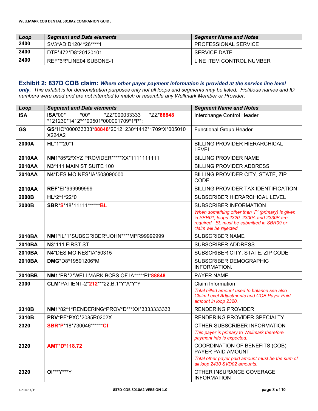| Loop | <b>Segment and Data elements</b> | <b>Segment Name and Notes</b> |
|------|----------------------------------|-------------------------------|
| 2400 | SV3*AD:D1204*26****1             | <b>PROFESSIONAL SERVICE</b>   |
| 2400 | DTP*472*D8*20120101              | <b>SERVICE DATE</b>           |
| 2400 | REF*6R*LINE04 SUBONE-1           | LINE ITEM CONTROL NUMBER      |

## Exhibit 2: 837D COB claim: Where other payer payment information is provided at the service line level

only. This exhibit is for demonstration purposes only not all loops and segments may be listed. Fictitious names and ID numbers were used and are not intended to match or resemble any Wellmark Member or Provider.

| Loop       | <b>Segment and Data elements</b>                                                          | <b>Segment Name and Notes</b>                                                                                                                                          |  |  |
|------------|-------------------------------------------------------------------------------------------|------------------------------------------------------------------------------------------------------------------------------------------------------------------------|--|--|
| <b>ISA</b> | $ISA*00*$<br>$*00*$<br>*ZZ*000033333<br>*ZZ*88848<br>*121230*1412*^*00501*000001709*1*P*: | Interchange Control Header                                                                                                                                             |  |  |
| <b>GS</b>  | GS*HC*000033333*88848*20121230*1412*1709*X*005010<br>X224A2                               | <b>Functional Group Header</b>                                                                                                                                         |  |  |
| 2000A      | HL*1**20*1                                                                                | <b>BILLING PROVIDER HIERARCHICAL</b><br><b>LEVEL</b>                                                                                                                   |  |  |
| 2010AA     | NM1*85*2*XYZ PROVIDER*****XX*1111111111                                                   | <b>BILLING PROVIDER NAME</b>                                                                                                                                           |  |  |
| 2010AA     | N3*111 MAIN ST SUITE 100                                                                  | <b>BILLING PROVIDER ADDRESS</b>                                                                                                                                        |  |  |
| 2010AA     | N4*DES MOINES*IA*503090000                                                                | BILLING PROVIDER CITY, STATE, ZIP<br><b>CODE</b>                                                                                                                       |  |  |
| 2010AA     | REF*EI*999999999                                                                          | BILLING PROVIDER TAX IDENTIFICATION                                                                                                                                    |  |  |
| 2000B      | HL*2*1*22*0                                                                               | SUBSCRIBER HIERARCHICAL LEVEL                                                                                                                                          |  |  |
| 2000B      | SBR*S*18*11111*******BL                                                                   | SUBSCRIBER INFORMATION                                                                                                                                                 |  |  |
|            |                                                                                           | When something other than 'P' (primary) is given<br>in SBR01, loops 2320, 2330A and 2330B are<br>required. BL must be submitted in SBR09 or<br>claim will be rejected. |  |  |
| 2010BA     | NM1*IL*1*SUBSCRIBER*JOHN****MI*R99999999                                                  | <b>SUBSCRIBER NAME</b>                                                                                                                                                 |  |  |
| 2010BA     | N3*111 FIRST ST                                                                           | <b>SUBSCRIBER ADDRESS</b>                                                                                                                                              |  |  |
| 2010BA     | N4*DES MOINES*IA*50315                                                                    | SUBSCRIBER CITY, STATE, ZIP CODE                                                                                                                                       |  |  |
| 2010BA     | <b>DMG*D8*19591206*M</b>                                                                  | SUBSCRIBER DEMOGRAPHIC<br>INFORMATION.                                                                                                                                 |  |  |
| 2010BB     | NM1*PR*2*WELLMARK BCBS OF IA*****PI*88848                                                 | PAYER NAME                                                                                                                                                             |  |  |
| 2300       | CLM*PATIENT-2*212***22:B:1*Y*A*Y*Y                                                        | Claim Information<br>Total billed amount used to balance see also<br><b>Claim Level Adjustments and COB Payer Paid</b><br>amount in loop 2320.                         |  |  |
| 2310B      | NM1*82*1*RENDERING*PROV*D***XX*3333333333                                                 | <b>RENDERING PROVIDER</b>                                                                                                                                              |  |  |
| 2310B      | <b>PRV*PE*PXC*2085R0202X</b>                                                              | RENDERING PROVIDER SPECIALTY                                                                                                                                           |  |  |
| 2320       | SBR*P*18*730046*******Cl                                                                  | OTHER SUBSCRIBER INFORMATION<br>This payer is primary to Wellmark therefore<br>payment info is expected.                                                               |  |  |
| 2320       | <b>AMT*D*118.72</b>                                                                       | <b>COORDINATION OF BENEFITS (COB)</b><br>PAYER PAID AMOUNT<br>Total other payer paid amount must be the sum of<br>all loop 2430 SVD02 amounts.                         |  |  |
| 2320       | 01***Y***Y                                                                                | OTHER INSURANCE COVERAGE<br><b>INFORMATION</b>                                                                                                                         |  |  |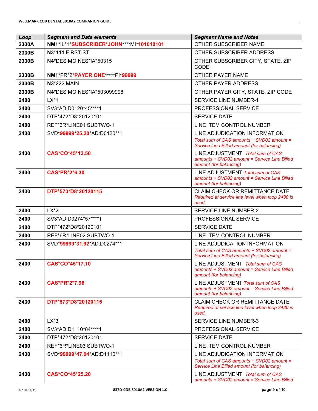| Loop  | <b>Segment and Data elements</b>         | <b>Segment Name and Notes</b>                                                                                            |  |  |
|-------|------------------------------------------|--------------------------------------------------------------------------------------------------------------------------|--|--|
| 2330A | NM1*IL*1*SUBSCRIBER*JOHN****MI*101010101 | OTHER SUBSCRIBER NAME                                                                                                    |  |  |
| 2330B | N3*111 FIRST ST                          | OTHER SUBSCRIBER ADDRESS                                                                                                 |  |  |
| 2330B | N4*DES MOINES*IA*50315                   | OTHER SUBSCRIBER CITY, STATE, ZIP<br><b>CODE</b>                                                                         |  |  |
| 2330B | NM1*PR*2*PAYER ONE*****PI*99999          | OTHER PAYER NAME                                                                                                         |  |  |
| 2330B | <b>N3*222 MAIN</b>                       | OTHER PAYER ADDRESS                                                                                                      |  |  |
| 2330B | <b>N4*DES MOINES*IA*503099998</b>        | OTHER PAYER CITY, STATE, ZIP CODE                                                                                        |  |  |
| 2400  | $LX^*1$                                  | <b>SERVICE LINE NUMBER-1</b>                                                                                             |  |  |
| 2400  | SV3*AD:D0120*45****1                     | PROFESSIONAL SERVICE                                                                                                     |  |  |
| 2400  | DTP*472*D8*20120101                      | <b>SERVICE DATE</b>                                                                                                      |  |  |
| 2400  | REF*6R*LINE01 SUBTWO-1                   | LINE ITEM CONTROL NUMBER                                                                                                 |  |  |
| 2430  | SVD*99999*25.20*AD:D0120**1              | LINE ADJUDICATION INFORMATION<br>Total sum of CAS amounts + SVD02 amount =<br>Service Line Billed amount (for balancing) |  |  |
| 2430  | CAS*CO*45*13.50                          | LINE ADJUSTMENT Total sum of CAS<br>amounts + SVD02 amount = Service Line Billed<br>amount (for balancing)               |  |  |
| 2430  | <b>CAS*PR*2*6.30</b>                     | LINE ADJUSTMENT Total sum of CAS<br>amounts + SVD02 amount = Service Line Billed<br>amount (for balancing)               |  |  |
| 2430  | DTP*573*D8*20120115                      | <b>CLAIM CHECK OR REMITTANCE DATE</b><br>Required at service line level when loop 2430 is<br>used.                       |  |  |
| 2400  | $LX^*2$                                  | <b>SERVICE LINE NUMBER-2</b>                                                                                             |  |  |
| 2400  | SV3*AD:D0274*57****1                     | PROFESSIONAL SERVICE                                                                                                     |  |  |
| 2400  | DTP*472*D8*20120101                      | <b>SERVICE DATE</b>                                                                                                      |  |  |
| 2400  | REF*6R*LINE02 SUBTWO-1                   | LINE ITEM CONTROL NUMBER                                                                                                 |  |  |
| 2430  | SVD*99999*31.92*AD:D0274**1              | LINE ADJUDICATION INFORMATION<br>Total sum of CAS amounts + SVD02 amount =<br>Service Line Billed amount (for balancing) |  |  |
| 2430  | CAS*CO*45*17.10                          | LINE ADJUSTMENT Total sum of CAS<br>amounts + SVD02 amount = Service Line Billed<br>amount (for balancing)               |  |  |
| 2430  | <b>CAS*PR*2*7.98</b>                     | LINE ADJUSTMENT Total sum of CAS<br>amounts + SVD02 amount = Service Line Billed<br>amount (for balancing)               |  |  |
| 2430  | DTP*573*D8*20120115                      | <b>CLAIM CHECK OR REMITTANCE DATE</b><br>Required at service line level when loop 2430 is<br>used.                       |  |  |
| 2400  | $LX*3$                                   | <b>SERVICE LINE NUMBER-3</b>                                                                                             |  |  |
| 2400  | SV3*AD:D1110*84****1                     | PROFESSIONAL SERVICE                                                                                                     |  |  |
| 2400  | DTP*472*D8*20120101                      | <b>SERVICE DATE</b>                                                                                                      |  |  |
| 2400  | REF*6R*LINE03 SUBTWO-1                   | LINE ITEM CONTROL NUMBER                                                                                                 |  |  |
| 2430  | SVD*99999*47.04*AD:D1110**1              | LINE ADJUDICATION INFORMATION<br>Total sum of CAS amounts + SVD02 amount =<br>Service Line Billed amount (for balancing) |  |  |
| 2430  | CAS*CO*45*25.20                          | LINE ADJUSTMENT Total sum of CAS<br>amounts + SVD02 amount = Service Line Billed                                         |  |  |